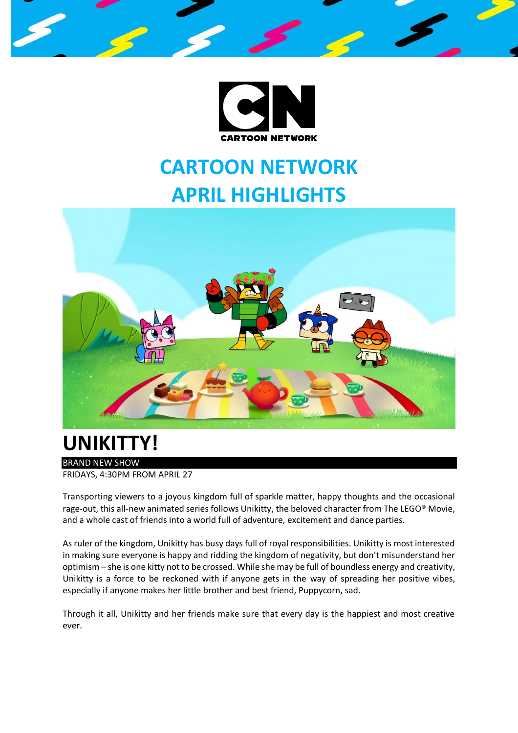



# **UNIKITTY!**

#### BRAND NEW SHOW

FRIDAYS, 4:30PM FROM APRIL 27

Transporting viewers to a joyous kingdom full of sparkle matter, happy thoughts and the occasional rage-out, this all-new animated series follows Unikitty, the beloved character from The LEGO® Movie, and a whole cast of friends into a world full of adventure, excitement and dance parties.

As ruler of the kingdom, Unikitty has busy days full of royal responsibilities. Unikitty is most interested in making sure everyone is happy and ridding the kingdom of negativity, but don't misunderstand her optimism – she is one kitty not to be crossed. While she may be full of boundless energy and creativity, Unikitty is a force to be reckoned with if anyone gets in the way of spreading her positive vibes, especially if anyone makes her little brother and best friend, Puppycorn, sad.

Through it all, Unikitty and her friends make sure that every day is the happiest and most creative ever.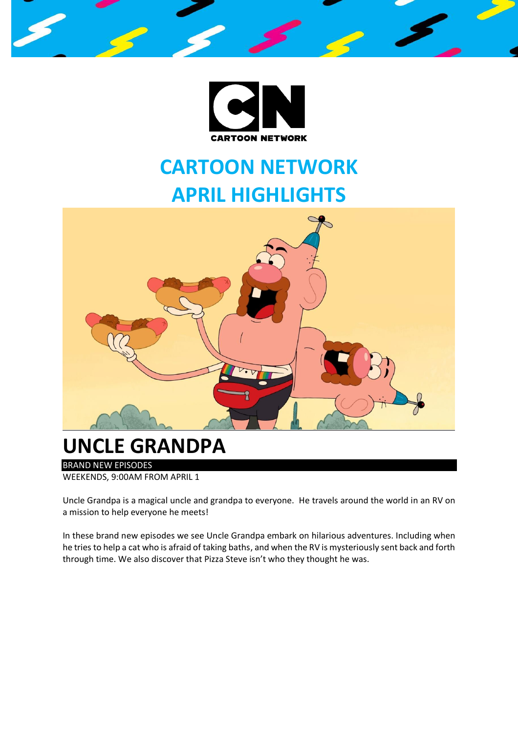



#### **UNCLE GRANDPA**

BRAND NEW EPISODES WEEKENDS, 9:00AM FROM APRIL 1

Uncle Grandpa is a magical uncle and grandpa to everyone. He travels around the world in an RV on a mission to help everyone he meets!

In these brand new episodes we see Uncle Grandpa embark on hilarious adventures. Including when he tries to help a cat who is afraid of taking baths, and when the RV is mysteriously sent back and forth through time. We also discover that Pizza Steve isn't who they thought he was.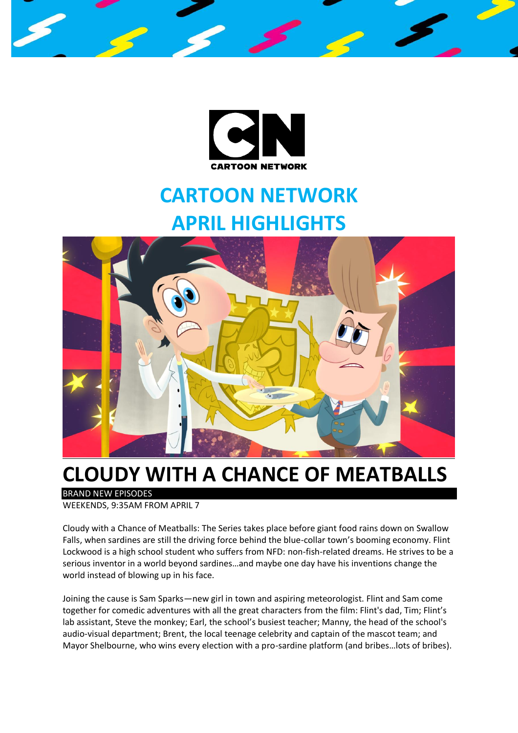



#### **CLOUDY WITH A CHANCE OF MEATBALLS**

BRAND NEW EPISODES

WEEKENDS, 9:35AM FROM APRIL 7

Cloudy with a Chance of Meatballs: The Series takes place before giant food rains down on Swallow Falls, when sardines are still the driving force behind the blue-collar town's booming economy. Flint Lockwood is a high school student who suffers from NFD: non-fish-related dreams. He strives to be a serious inventor in a world beyond sardines…and maybe one day have his inventions change the world instead of blowing up in his face.

Joining the cause is Sam Sparks—new girl in town and aspiring meteorologist. Flint and Sam come together for comedic adventures with all the great characters from the film: Flint's dad, Tim; Flint's lab assistant, Steve the monkey; Earl, the school's busiest teacher; Manny, the head of the school's audio-visual department; Brent, the local teenage celebrity and captain of the mascot team; and Mayor Shelbourne, who wins every election with a pro-sardine platform (and bribes…lots of bribes).